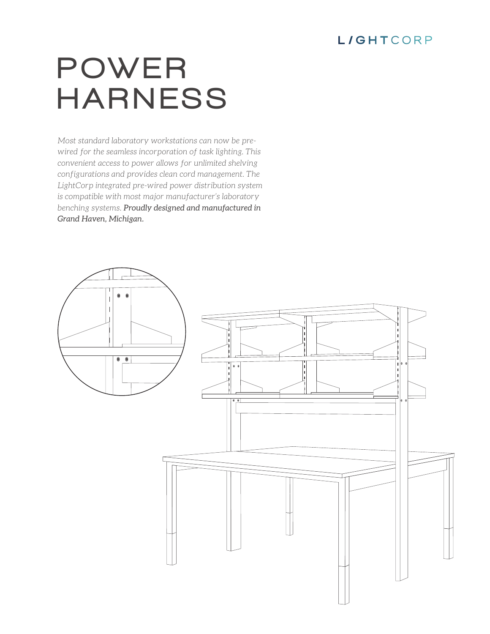## **L/GHTCORP**

# POWER HARNESS

*Most standard laboratory workstations can now be prewired for the seamless incorporation of task lighting. This convenient access to power allows for unlimited shelving configurations and provides clean cord management. The LightCorp integrated pre-wired power distribution system is compatible with most major manufacturer's laboratory benching systems. Proudly designed and manufactured in Grand Haven, Michigan.*